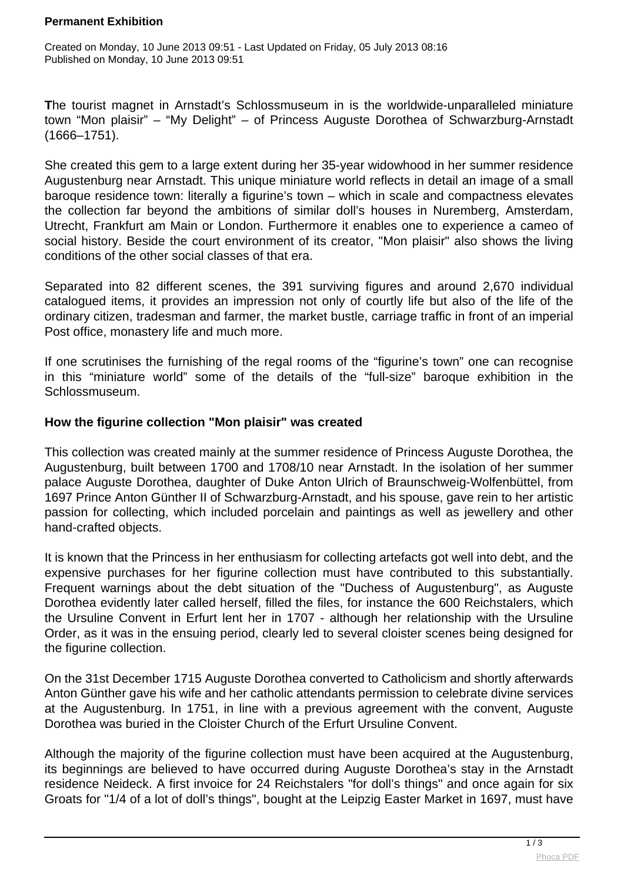### **Permanent Exhibition**

Created on Monday, 10 June 2013 09:51 - Last Updated on Friday, 05 July 2013 08:16 Published on Monday, 10 June 2013 09:51

**T**he tourist magnet in Arnstadt's Schlossmuseum in is the worldwide-unparalleled miniature town "Mon plaisir" – "My Delight" – of Princess Auguste Dorothea of Schwarzburg-Arnstadt (1666–1751).

She created this gem to a large extent during her 35-year widowhood in her summer residence Augustenburg near Arnstadt. This unique miniature world reflects in detail an image of a small baroque residence town: literally a figurine's town – which in scale and compactness elevates the collection far beyond the ambitions of similar doll's houses in Nuremberg, Amsterdam, Utrecht, Frankfurt am Main or London. Furthermore it enables one to experience a cameo of social history. Beside the court environment of its creator, "Mon plaisir" also shows the living conditions of the other social classes of that era.

Separated into 82 different scenes, the 391 surviving figures and around 2,670 individual catalogued items, it provides an impression not only of courtly life but also of the life of the ordinary citizen, tradesman and farmer, the market bustle, carriage traffic in front of an imperial Post office, monastery life and much more.

If one scrutinises the furnishing of the regal rooms of the "figurine's town" one can recognise in this "miniature world" some of the details of the "full-size" baroque exhibition in the Schlossmuseum.

## **How the figurine collection "Mon plaisir" was created**

This collection was created mainly at the summer residence of Princess Auguste Dorothea, the Augustenburg, built between 1700 and 1708/10 near Arnstadt. In the isolation of her summer palace Auguste Dorothea, daughter of Duke Anton Ulrich of Braunschweig-Wolfenbüttel, from 1697 Prince Anton Günther II of Schwarzburg-Arnstadt, and his spouse, gave rein to her artistic passion for collecting, which included porcelain and paintings as well as jewellery and other hand-crafted objects.

It is known that the Princess in her enthusiasm for collecting artefacts got well into debt, and the expensive purchases for her figurine collection must have contributed to this substantially. Frequent warnings about the debt situation of the "Duchess of Augustenburg", as Auguste Dorothea evidently later called herself, filled the files, for instance the 600 Reichstalers, which the Ursuline Convent in Erfurt lent her in 1707 - although her relationship with the Ursuline Order, as it was in the ensuing period, clearly led to several cloister scenes being designed for the figurine collection.

On the 31st December 1715 Auguste Dorothea converted to Catholicism and shortly afterwards Anton Günther gave his wife and her catholic attendants permission to celebrate divine services at the Augustenburg. In 1751, in line with a previous agreement with the convent, Auguste Dorothea was buried in the Cloister Church of the Erfurt Ursuline Convent.

Although the majority of the figurine collection must have been acquired at the Augustenburg. its beginnings are believed to have occurred during Auguste Dorothea's stay in the Arnstadt residence Neideck. A first invoice for 24 Reichstalers "for doll's things" and once again for six Groats for "1/4 of a lot of doll's things", bought at the Leipzig Easter Market in 1697, must have

 $\frac{1}{3}$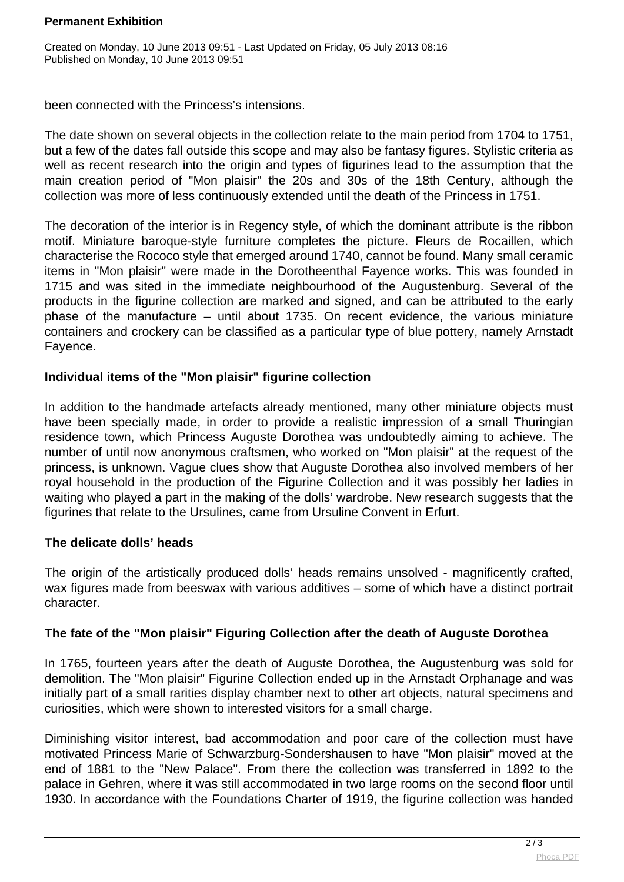### **Permanent Exhibition**

Created on Monday, 10 June 2013 09:51 - Last Updated on Friday, 05 July 2013 08:16 Published on Monday, 10 June 2013 09:51

been connected with the Princess's intensions.

The date shown on several objects in the collection relate to the main period from 1704 to 1751, but a few of the dates fall outside this scope and may also be fantasy figures. Stylistic criteria as well as recent research into the origin and types of figurines lead to the assumption that the main creation period of "Mon plaisir" the 20s and 30s of the 18th Century, although the collection was more of less continuously extended until the death of the Princess in 1751.

The decoration of the interior is in Regency style, of which the dominant attribute is the ribbon motif. Miniature baroque-style furniture completes the picture. Fleurs de Rocaillen, which characterise the Rococo style that emerged around 1740, cannot be found. Many small ceramic items in "Mon plaisir" were made in the Dorotheenthal Fayence works. This was founded in 1715 and was sited in the immediate neighbourhood of the Augustenburg. Several of the products in the figurine collection are marked and signed, and can be attributed to the early phase of the manufacture – until about 1735. On recent evidence, the various miniature containers and crockery can be classified as a particular type of blue pottery, namely Arnstadt Fayence.

# **Individual items of the "Mon plaisir" figurine collection**

In addition to the handmade artefacts already mentioned, many other miniature objects must have been specially made, in order to provide a realistic impression of a small Thuringian residence town, which Princess Auguste Dorothea was undoubtedly aiming to achieve. The number of until now anonymous craftsmen, who worked on "Mon plaisir" at the request of the princess, is unknown. Vague clues show that Auguste Dorothea also involved members of her royal household in the production of the Figurine Collection and it was possibly her ladies in waiting who played a part in the making of the dolls' wardrobe. New research suggests that the figurines that relate to the Ursulines, came from Ursuline Convent in Erfurt.

## **The delicate dolls' heads**

The origin of the artistically produced dolls' heads remains unsolved - magnificently crafted, wax figures made from beeswax with various additives – some of which have a distinct portrait character.

## **The fate of the "Mon plaisir" Figuring Collection after the death of Auguste Dorothea**

In 1765, fourteen years after the death of Auguste Dorothea, the Augustenburg was sold for demolition. The "Mon plaisir" Figurine Collection ended up in the Arnstadt Orphanage and was initially part of a small rarities display chamber next to other art objects, natural specimens and curiosities, which were shown to interested visitors for a small charge.

Diminishing visitor interest, bad accommodation and poor care of the collection must have motivated Princess Marie of Schwarzburg-Sondershausen to have "Mon plaisir" moved at the end of 1881 to the "New Palace". From there the collection was transferred in 1892 to the palace in Gehren, where it was still accommodated in two large rooms on the second floor until 1930. In accordance with the Foundations Charter of 1919, the figurine collection was handed